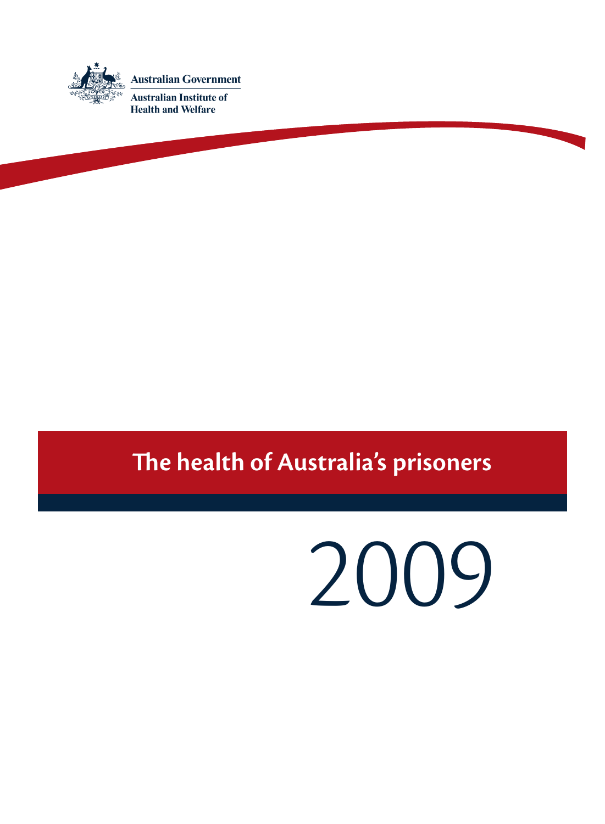

## **The health of Australia's prisoners**

# 2009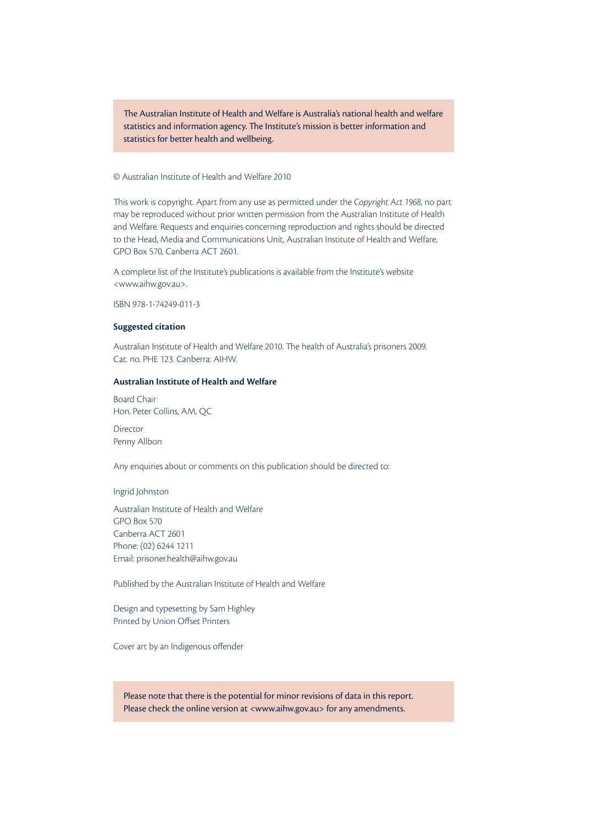The Australian Institute of Health and Welfare is Australia's national health and welfare statistics and information agency. The Institute's mission is better information and statistics for better health and wellbeing.

## © Australian Institute of Health and Welfare 2010

This work is copyright. Apart from any use as permitted under the *Copyright Act 1968*, no part may be reproduced without prior written permission from the Australian Institute of Health and Welfare. Requests and enquiries concerning reproduction and rights should be directed to the Head, Media and Communications Unit, Australian Institute of Health and Welfare, GPO Box 570, Canberra ACT 2601.

A complete list of the Institute's publications is available from the Institute's website <www.aihw.gov.au>.

ISBN 978-1-74249-011-3

#### **Suggested citation**

Australian Institute of Health and Welfare 2010. The health of Australia's prisoners 2009. Cat. no. PHE 123. Canberra: AIHW.

#### **Australian Institute of Health and Welfare**

Board Chair Hon. Peter Collins, AM, QC

Director Penny Allbon

Any enquiries about or comments on this publication should be directed to:

Ingrid Johnston

Australian Institute of Health and Welfare GPO Box 570 Canberra ACT 2601 Phone: (02) 6244 1211 Email: prisoner.health@aihw.gov.au

Published by the Australian Institute of Health and Welfare

Design and typesetting by Sam Highley Printed by Union Offset Printers

Cover art by an Indigenous offender

Please note that there is the potential for minor revisions of data in this report. Please check the online version at <www.aihw.gov.au> for any amendments.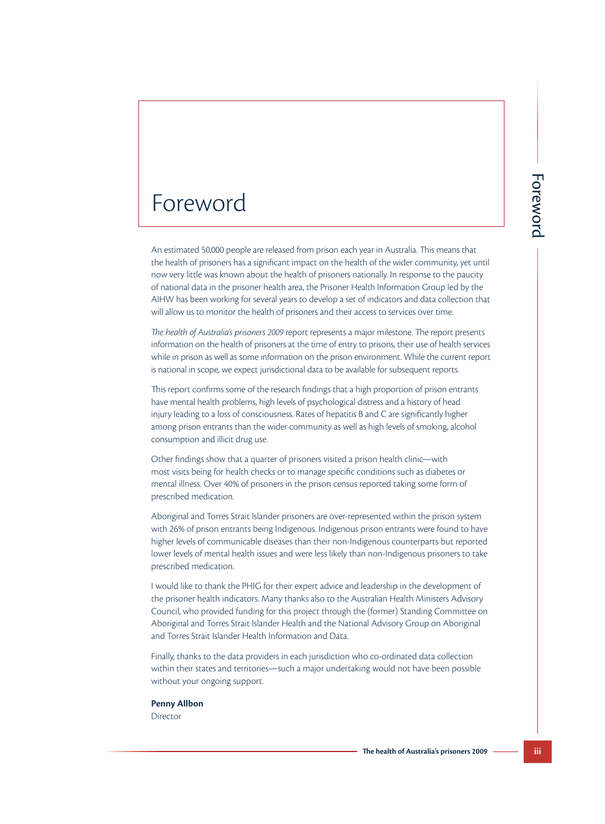## Foreword

**The health of the wider community, yet until<br>
of the wider community, yet until<br>
of chave wider community, yet until<br>
difficiations and data collection that<br>
findicatios and data collection that<br>
rest to services over tim** An estimated 50,000 people are released from prison each year in Australia. This means that the health of prisoners has a significant impact on the health of the wider community, yet until now very little was known about the health of prisoners nationally. In response to the paucity of national data in the prisoner health area, the Prisoner Health Information Group led by the AIHW has been working for several years to develop a set of indicators and data collection that will allow us to monitor the health of prisoners and their access to services over time.

*The health of Australia's prisoners 2009* report represents a major milestone. The report presents information on the health of prisoners at the time of entry to prisons, their use of health services while in prison as well as some information on the prison environment. While the current report is national in scope, we expect jurisdictional data to be available for subsequent reports.

This report confirms some of the research findings that a high proportion of prison entrants have mental health problems, high levels of psychological distress and a history of head injury leading to a loss of consciousness. Rates of hepatitis B and C are significantly higher among prison entrants than the wider community as well as high levels of smoking, alcohol consumption and illicit drug use.

Other findings show that a quarter of prisoners visited a prison health clinic—with most visits being for health checks or to manage specific conditions such as diabetes or mental illness. Over 40% of prisoners in the prison census reported taking some form of prescribed medication.

Aboriginal and Torres Strait Islander prisoners are over-represented within the prison system with 26% of prison entrants being Indigenous. Indigenous prison entrants were found to have higher levels of communicable diseases than their non-Indigenous counterparts but reported lower levels of mental health issues and were less likely than non-Indigenous prisoners to take prescribed medication.

I would like to thank the PHIG for their expert advice and leadership in the development of the prisoner health indicators. Many thanks also to the Australian Health Ministers Advisory Council, who provided funding for this project through the (former) Standing Committee on Aboriginal and Torres Strait Islander Health and the National Advisory Group on Aboriginal and Torres Strait Islander Health Information and Data.

Finally, thanks to the data providers in each jurisdiction who co-ordinated data collection within their states and territories—such a major undertaking would not have been possible without your ongoing support.

#### **Penny Allbon**

**Director**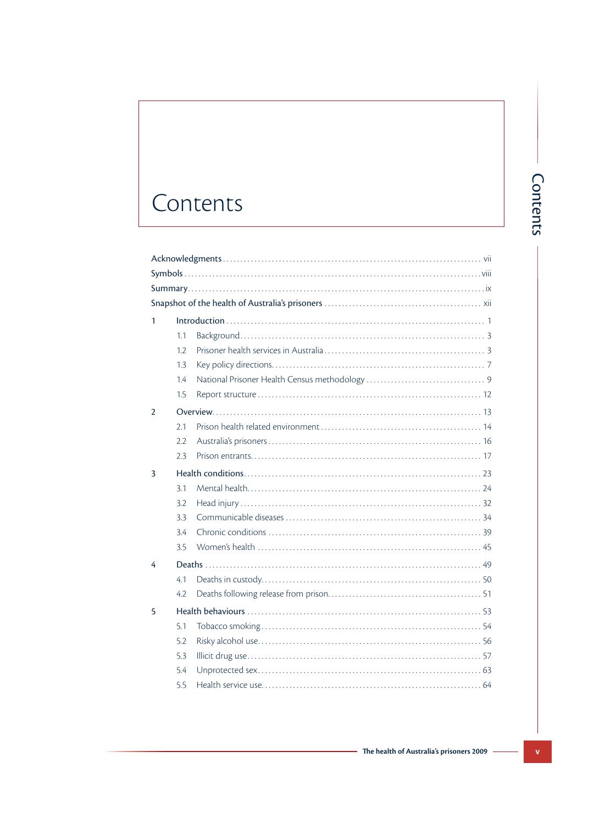## Contents

| 1.1 |  |  |  |  |
|-----|--|--|--|--|
| 1.2 |  |  |  |  |
| 1.3 |  |  |  |  |
| 1.4 |  |  |  |  |
| 1.5 |  |  |  |  |
|     |  |  |  |  |
| 2.1 |  |  |  |  |
| 2.2 |  |  |  |  |
| 2.3 |  |  |  |  |
|     |  |  |  |  |
| 3.1 |  |  |  |  |
| 3.2 |  |  |  |  |
| 3.3 |  |  |  |  |
| 3.4 |  |  |  |  |
| 3.5 |  |  |  |  |
|     |  |  |  |  |
| 4.1 |  |  |  |  |
| 4.2 |  |  |  |  |
|     |  |  |  |  |
| 5.1 |  |  |  |  |
| 5.2 |  |  |  |  |
| 5.3 |  |  |  |  |
| 5.4 |  |  |  |  |
| 5.5 |  |  |  |  |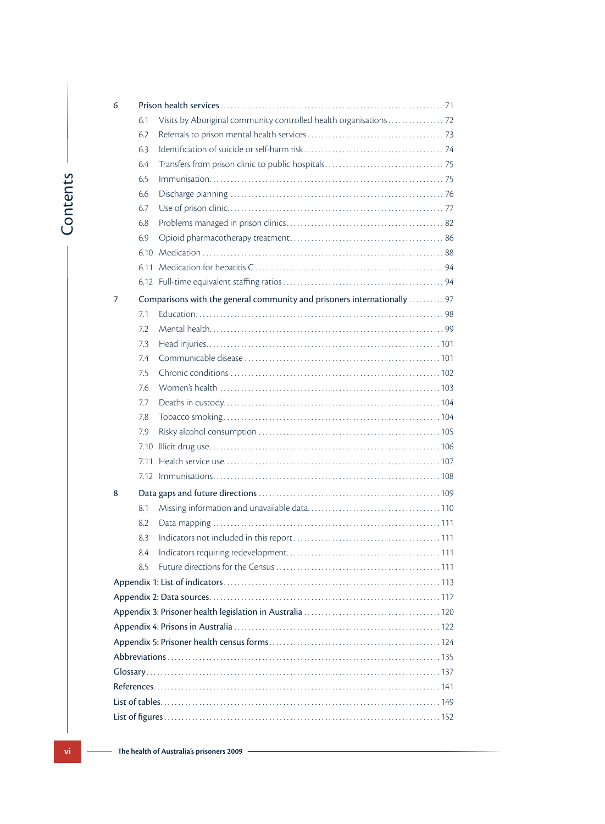|          | 6              |                                                                          |  |
|----------|----------------|--------------------------------------------------------------------------|--|
|          |                | 6.1                                                                      |  |
|          |                | 6.2                                                                      |  |
|          |                | 6.3                                                                      |  |
|          |                | 6.4                                                                      |  |
|          |                | 6.5                                                                      |  |
|          |                | 6.6                                                                      |  |
|          |                | 6.7                                                                      |  |
| Contents |                | 6.8                                                                      |  |
|          |                | 6.9                                                                      |  |
|          |                | 6.10                                                                     |  |
|          |                | 6.11                                                                     |  |
|          |                |                                                                          |  |
|          | $\overline{7}$ | Comparisons with the general community and prisoners internationally  97 |  |
|          |                | 7.1                                                                      |  |
|          |                | 7.2                                                                      |  |
|          |                | 7.3                                                                      |  |
|          |                | 7.4                                                                      |  |
|          |                | 7.5                                                                      |  |
|          |                | 7.6                                                                      |  |
|          |                | 7.7                                                                      |  |
|          |                | 7.8                                                                      |  |
|          |                | 7.9                                                                      |  |
|          |                | 7.10                                                                     |  |
|          |                | 7.11                                                                     |  |
|          |                |                                                                          |  |
|          | 8              |                                                                          |  |
|          |                | 8.1                                                                      |  |
|          |                | 8.2                                                                      |  |
|          |                | 8.3                                                                      |  |
|          |                | 8.4                                                                      |  |
|          |                | 8.5                                                                      |  |
|          |                |                                                                          |  |
|          |                |                                                                          |  |
|          |                |                                                                          |  |
|          |                |                                                                          |  |
|          |                |                                                                          |  |
|          |                |                                                                          |  |
|          |                |                                                                          |  |
|          |                |                                                                          |  |
|          |                |                                                                          |  |
|          |                |                                                                          |  |
|          |                |                                                                          |  |
| vi       |                | The health of Australia's prisoners 2009                                 |  |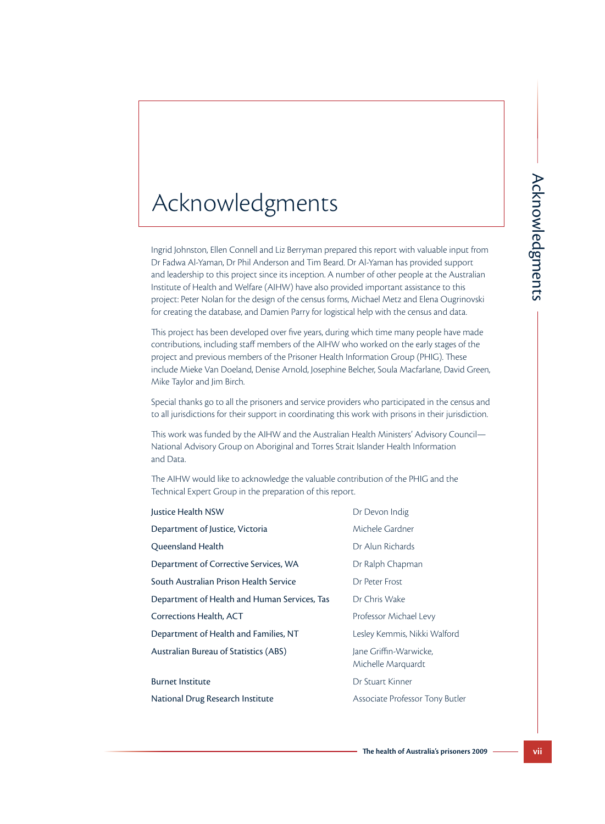## Acknowledgments

| Acknowledgments                                                                                                                                                                                                                                                                                                                                                                                                                                                                                                                                                              |                                              |                 |
|------------------------------------------------------------------------------------------------------------------------------------------------------------------------------------------------------------------------------------------------------------------------------------------------------------------------------------------------------------------------------------------------------------------------------------------------------------------------------------------------------------------------------------------------------------------------------|----------------------------------------------|-----------------|
| Ingrid Johnston, Ellen Connell and Liz Berryman prepared this report with valuable input from<br>Dr Fadwa Al-Yaman, Dr Phil Anderson and Tim Beard. Dr Al-Yaman has provided support<br>and leadership to this project since its inception. A number of other people at the Australian<br>Institute of Health and Welfare (AIHW) have also provided important assistance to this<br>project: Peter Nolan for the design of the census forms, Michael Metz and Elena Ougrinovski<br>for creating the database, and Damien Parry for logistical help with the census and data. |                                              | Acknowledgments |
| This project has been developed over five years, during which time many people have made<br>contributions, including staff members of the AIHW who worked on the early stages of the<br>project and previous members of the Prisoner Health Information Group (PHIG). These<br>include Mieke Van Doeland, Denise Arnold, Josephine Belcher, Soula Macfarlane, David Green,<br>Mike Taylor and Jim Birch.                                                                                                                                                                     |                                              |                 |
| Special thanks go to all the prisoners and service providers who participated in the census and<br>to all jurisdictions for their support in coordinating this work with prisons in their jurisdiction.                                                                                                                                                                                                                                                                                                                                                                      |                                              |                 |
| This work was funded by the AIHW and the Australian Health Ministers' Advisory Council—<br>National Advisory Group on Aboriginal and Torres Strait Islander Health Information<br>and Data.                                                                                                                                                                                                                                                                                                                                                                                  |                                              |                 |
| The AIHW would like to acknowledge the valuable contribution of the PHIG and the<br>Technical Expert Group in the preparation of this report.                                                                                                                                                                                                                                                                                                                                                                                                                                |                                              |                 |
| Justice Health NSW                                                                                                                                                                                                                                                                                                                                                                                                                                                                                                                                                           | Dr Devon Indig                               |                 |
| Department of Justice, Victoria                                                                                                                                                                                                                                                                                                                                                                                                                                                                                                                                              | Michele Gardner                              |                 |
| Queensland Health                                                                                                                                                                                                                                                                                                                                                                                                                                                                                                                                                            | Dr Alun Richards                             |                 |
| Department of Corrective Services, WA                                                                                                                                                                                                                                                                                                                                                                                                                                                                                                                                        | Dr Ralph Chapman                             |                 |
| South Australian Prison Health Service                                                                                                                                                                                                                                                                                                                                                                                                                                                                                                                                       | Dr Peter Frost                               |                 |
| Department of Health and Human Services, Tas                                                                                                                                                                                                                                                                                                                                                                                                                                                                                                                                 | Dr Chris Wake                                |                 |
| <b>Corrections Health, ACT</b>                                                                                                                                                                                                                                                                                                                                                                                                                                                                                                                                               | Professor Michael Levy                       |                 |
| Department of Health and Families, NT                                                                                                                                                                                                                                                                                                                                                                                                                                                                                                                                        | Lesley Kemmis, Nikki Walford                 |                 |
| <b>Australian Bureau of Statistics (ABS)</b>                                                                                                                                                                                                                                                                                                                                                                                                                                                                                                                                 | Jane Griffin-Warwicke,<br>Michelle Marquardt |                 |
| <b>Burnet Institute</b>                                                                                                                                                                                                                                                                                                                                                                                                                                                                                                                                                      | Dr Stuart Kinner                             |                 |
| National Drug Research Institute                                                                                                                                                                                                                                                                                                                                                                                                                                                                                                                                             | Associate Professor Tony Butler              |                 |
|                                                                                                                                                                                                                                                                                                                                                                                                                                                                                                                                                                              | The health of Australia's prisoners 2009     | vii             |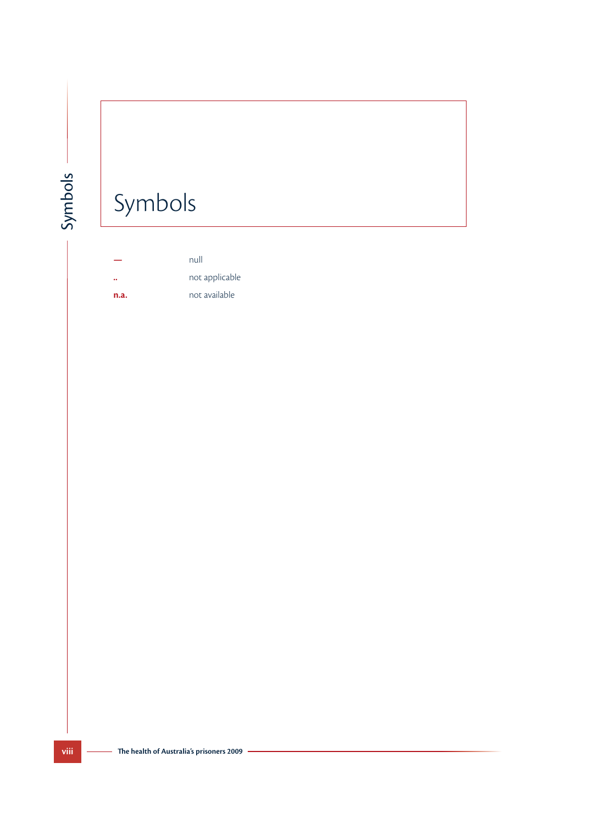# Symbols

 $\ddot{\phantom{a}}$ 

Symbols -

null not applicable not available  $n.a.$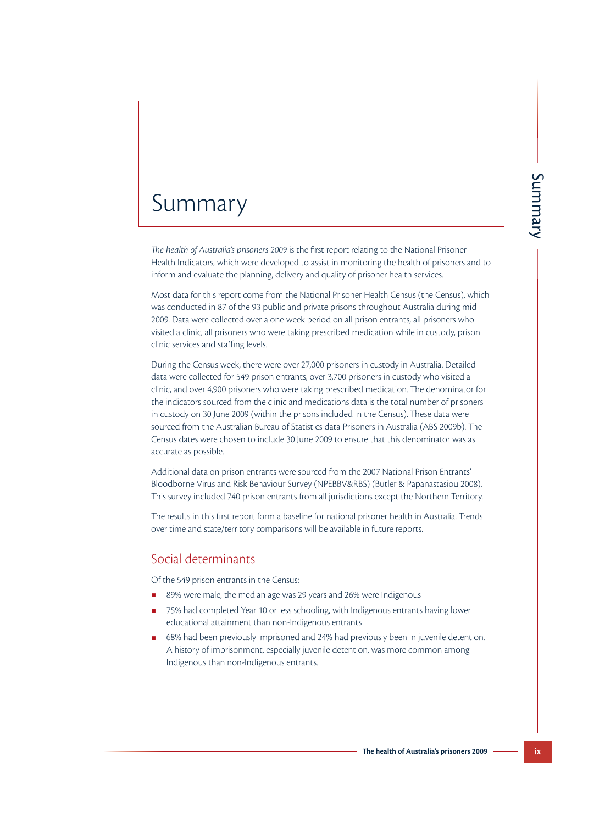## Summary

*The health of Australia's prisoners 2009* is the first report relating to the National Prisoner Health Indicators, which were developed to assist in monitoring the health of prisoners and to inform and evaluate the planning, delivery and quality of prisoner health services.

Most data for this report come from the National Prisoner Health Census (the Census), which was conducted in 87 of the 93 public and private prisons throughout Australia during mid 2009. Data were collected over a one week period on all prison entrants, all prisoners who visited a clinic, all prisoners who were taking prescribed medication while in custody, prison clinic services and staffing levels.

**The health of Australia'** prisoner<br>
oring the health of prisoners and to<br>
oring the health of prisones and to<br>
Health Census (the Census), which<br>
throughout Australia during mid<br>
ison entrants, all prisoners who<br>
dication During the Census week, there were over 27,000 prisoners in custody in Australia. Detailed data were collected for 549 prison entrants, over 3,700 prisoners in custody who visited a clinic, and over 4,900 prisoners who were taking prescribed medication. The denominator for the indicators sourced from the clinic and medications data is the total number of prisoners in custody on 30 June 2009 (within the prisons included in the Census). These data were sourced from the Australian Bureau of Statistics data Prisoners in Australia (ABS 2009b). The Census dates were chosen to include 30 June 2009 to ensure that this denominator was as accurate as possible.

Additional data on prison entrants were sourced from the 2007 National Prison Entrants' Bloodborne Virus and Risk Behaviour Survey (NPEBBV&RBS) (Butler & Papanastasiou 2008). This survey included 740 prison entrants from all jurisdictions except the Northern Territory.

The results in this first report form a baseline for national prisoner health in Australia. Trends over time and state/territory comparisons will be available in future reports.

## Social determinants

Of the 549 prison entrants in the Census:

- 89% were male, the median age was 29 years and 26% were Indigenous
- 75% had completed Year 10 or less schooling, with Indigenous entrants having lower educational attainment than non-Indigenous entrants
- 68% had been previously imprisoned and 24% had previously been in juvenile detention. A history of imprisonment, especially juvenile detention, was more common among Indigenous than non-Indigenous entrants.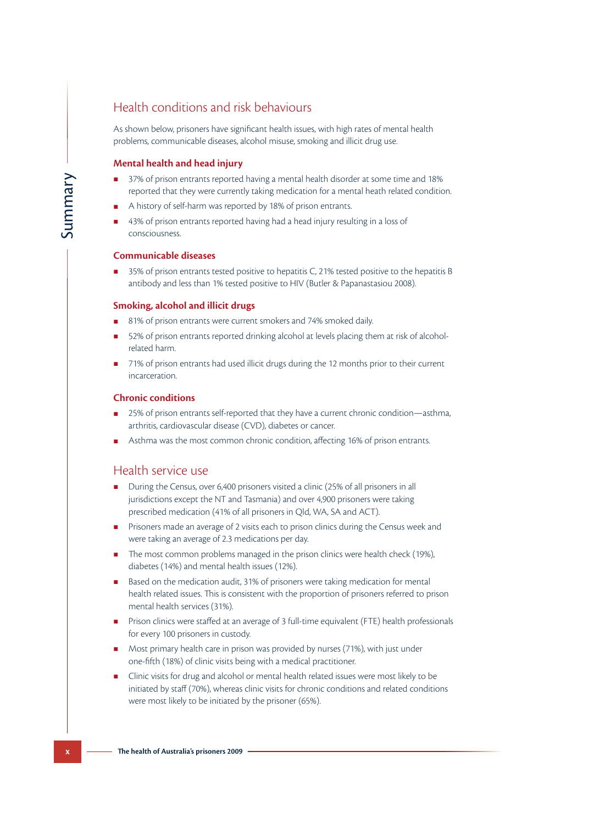## Health conditions and risk behaviours

As shown below, prisoners have significant health issues, with high rates of mental health problems, communicable diseases, alcohol misuse, smoking and illicit drug use.

## **Mental health and head injury**

- 37% of prison entrants reported having a mental health disorder at some time and 18% reported that they were currently taking medication for a mental heath related condition.
- A history of self-harm was reported by 18% of prison entrants.
- 43% of prison entrants reported having had a head injury resulting in a loss of consciousness.

## **Communicable diseases**

■ 35% of prison entrants tested positive to hepatitis C, 21% tested positive to the hepatitis B antibody and less than 1% tested positive to HIV (Butler & Papanastasiou 2008).

## **Smoking, alcohol and illicit drugs**

- 81% of prison entrants were current smokers and 74% smoked daily.
- 52% of prison entrants reported drinking alcohol at levels placing them at risk of alcoholrelated harm.
- 71% of prison entrants had used illicit drugs during the 12 months prior to their current incarceration.

## **Chronic conditions**

- 25% of prison entrants self-reported that they have a current chronic condition—asthma, arthritis, cardiovascular disease (CVD), diabetes or cancer.
- Asthma was the most common chronic condition, affecting 16% of prison entrants.

## Health service use

- During the Census, over 6,400 prisoners visited a clinic (25% of all prisoners in all jurisdictions except the NT and Tasmania) and over 4,900 prisoners were taking prescribed medication (41% of all prisoners in Qld, WA, SA and ACT).
- Prisoners made an average of 2 visits each to prison clinics during the Census week and were taking an average of 2.3 medications per day.
- The most common problems managed in the prison clinics were health check (19%), diabetes (14%) and mental health issues (12%).
- Based on the medication audit, 31% of prisoners were taking medication for mental health related issues. This is consistent with the proportion of prisoners referred to prison mental health services (31%).
- Prison clinics were staffed at an average of 3 full-time equivalent (FTE) health professionals for every 100 prisoners in custody.
- Most primary health care in prison was provided by nurses (71%), with just under one-fifth (18%) of clinic visits being with a medical practitioner.
- **x** 37% of prison entrants reporred<br> **The health of Australia** they were current<br> **x** A is bisory of self-harm was reported<br> **x** Austory of self-harm was reported<br> **x** 35% of prison entrants tested p<br> **x** antibody and les Clinic visits for drug and alcohol or mental health related issues were most likely to be initiated by staff (70%), whereas clinic visits for chronic conditions and related conditions were most likely to be initiated by the prisoner (65%).